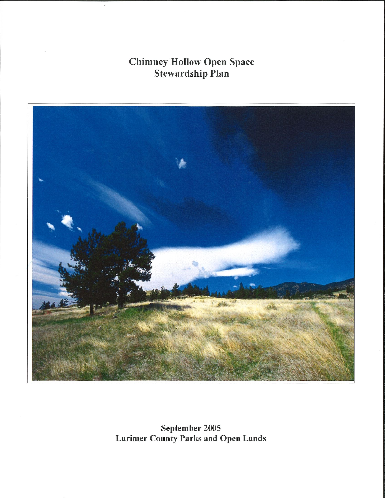**Chimney Hollow Open Space<br>Stewardship Plan** 



September 2005 Larimer County Parks and Open Lands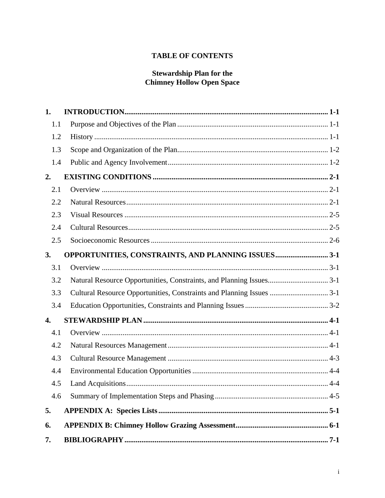# **TABLE OF CONTENTS**

# **Stewardship Plan for the<br>Chimney Hollow Open Space**

| 1.  |                                                    |  |
|-----|----------------------------------------------------|--|
| 1.1 |                                                    |  |
| 1.2 |                                                    |  |
| 1.3 |                                                    |  |
| 1.4 |                                                    |  |
| 2.  |                                                    |  |
| 2.1 |                                                    |  |
| 2.2 |                                                    |  |
| 2.3 |                                                    |  |
| 2.4 |                                                    |  |
| 2.5 |                                                    |  |
| 3.  | OPPORTUNITIES, CONSTRAINTS, AND PLANNING ISSUES3-1 |  |
| 3.1 |                                                    |  |
| 3.2 |                                                    |  |
| 3.3 |                                                    |  |
| 3.4 |                                                    |  |
| 4.  |                                                    |  |
| 4.1 |                                                    |  |
| 4.2 |                                                    |  |
| 4.3 |                                                    |  |
| 4.4 |                                                    |  |
| 4.5 |                                                    |  |
| 4.6 |                                                    |  |
| 5.  |                                                    |  |
| 6.  |                                                    |  |
| 7.  |                                                    |  |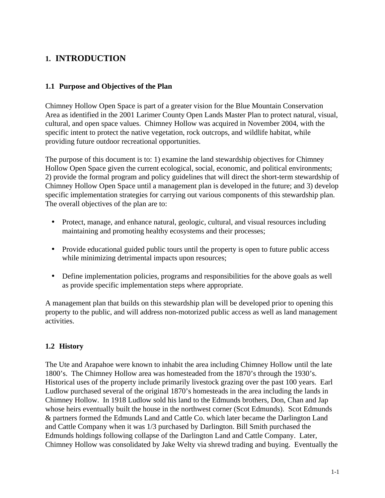# **1. INTRODUCTION**

### **1.1 Purpose and Objectives of the Plan**

Chimney Hollow Open Space is part of a greater vision for the Blue Mountain Conservation Area as identified in the 2001 Larimer County Open Lands Master Plan to protect natural, visual, cultural, and open space values. Chimney Hollow was acquired in November 2004, with the specific intent to protect the native vegetation, rock outcrops, and wildlife habitat, while providing future outdoor recreational opportunities.

The purpose of this document is to: 1) examine the land stewardship objectives for Chimney Hollow Open Space given the current ecological, social, economic, and political environments; 2) provide the formal program and policy guidelines that will direct the short-term stewardship of Chimney Hollow Open Space until a management plan is developed in the future; and 3) develop specific implementation strategies for carrying out various components of this stewardship plan. The overall objectives of the plan are to:

- Protect, manage, and enhance natural, geologic, cultural, and visual resources including maintaining and promoting healthy ecosystems and their processes;
- Provide educational guided public tours until the property is open to future public access while minimizing detrimental impacts upon resources;
- Define implementation policies, programs and responsibilities for the above goals as well as provide specific implementation steps where appropriate.

A management plan that builds on this stewardship plan will be developed prior to opening this property to the public, and will address non-motorized public access as well as land management activities.

### **1.2 History**

The Ute and Arapahoe were known to inhabit the area including Chimney Hollow until the late 1800's. The Chimney Hollow area was homesteaded from the 1870's through the 1930's. Historical uses of the property include primarily livestock grazing over the past 100 years. Earl Ludlow purchased several of the original 1870's homesteads in the area including the lands in Chimney Hollow. In 1918 Ludlow sold his land to the Edmunds brothers, Don, Chan and Jap whose heirs eventually built the house in the northwest corner (Scot Edmunds). Scot Edmunds & partners formed the Edmunds Land and Cattle Co. which later became the Darlington Land and Cattle Company when it was 1/3 purchased by Darlington. Bill Smith purchased the Edmunds holdings following collapse of the Darlington Land and Cattle Company. Later, Chimney Hollow was consolidated by Jake Welty via shrewd trading and buying. Eventually the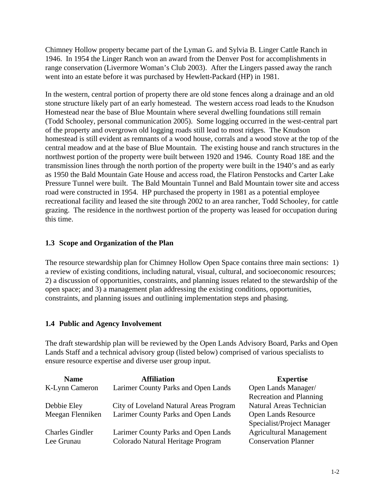Chimney Hollow property became part of the Lyman G. and Sylvia B. Linger Cattle Ranch in 1946. In 1954 the Linger Ranch won an award from the Denver Post for accomplishments in range conservation (Livermore Woman's Club 2003). After the Lingers passed away the ranch went into an estate before it was purchased by Hewlett-Packard (HP) in 1981.

In the western, central portion of property there are old stone fences along a drainage and an old stone structure likely part of an early homestead. The western access road leads to the Knudson Homestead near the base of Blue Mountain where several dwelling foundations still remain (Todd Schooley, personal communication 2005). Some logging occurred in the west-central part of the property and overgrown old logging roads still lead to most ridges. The Knudson homestead is still evident as remnants of a wood house, corrals and a wood stove at the top of the central meadow and at the base of Blue Mountain. The existing house and ranch structures in the northwest portion of the property were built between 1920 and 1946. County Road 18E and the transmission lines through the north portion of the property were built in the 1940's and as early as 1950 the Bald Mountain Gate House and access road, the Flatiron Penstocks and Carter Lake Pressure Tunnel were built. The Bald Mountain Tunnel and Bald Mountain tower site and access road were constructed in 1954. HP purchased the property in 1981 as a potential employee recreational facility and leased the site through 2002 to an area rancher, Todd Schooley, for cattle grazing. The residence in the northwest portion of the property was leased for occupation during this time.

### **1.3 Scope and Organization of the Plan**

The resource stewardship plan for Chimney Hollow Open Space contains three main sections: 1) a review of existing conditions, including natural, visual, cultural, and socioeconomic resources; 2) a discussion of opportunities, constraints, and planning issues related to the stewardship of the open space; and 3) a management plan addressing the existing conditions, opportunities, constraints, and planning issues and outlining implementation steps and phasing.

### **1.4 Public and Agency Involvement**

The draft stewardship plan will be reviewed by the Open Lands Advisory Board, Parks and Open Lands Staff and a technical advisory group (listed below) comprised of various specialists to ensure resource expertise and diverse user group input.

| <b>Name</b>            | <b>Affiliation</b>                     | <b>Expertise</b>               |
|------------------------|----------------------------------------|--------------------------------|
| K-Lynn Cameron         | Larimer County Parks and Open Lands    | Open Lands Manager/            |
|                        |                                        | <b>Recreation and Planning</b> |
| Debbie Eley            | City of Loveland Natural Areas Program | Natural Areas Technician       |
| Meegan Flenniken       | Larimer County Parks and Open Lands    | <b>Open Lands Resource</b>     |
|                        |                                        | Specialist/Project Manager     |
| <b>Charles Gindler</b> | Larimer County Parks and Open Lands    | <b>Agricultural Management</b> |
| Lee Grunau             | Colorado Natural Heritage Program      | <b>Conservation Planner</b>    |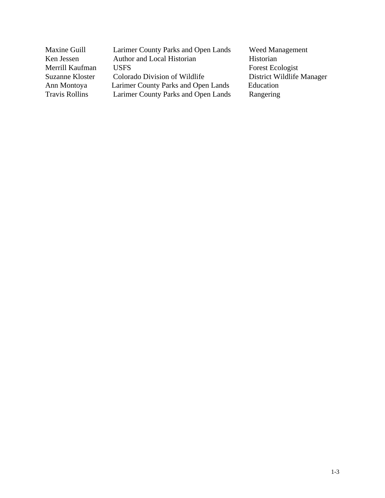| Maxine Guill          | Larimer County Parks and Open Lands | <b>Weed Management</b>    |
|-----------------------|-------------------------------------|---------------------------|
| Ken Jessen            | Author and Local Historian          | Historian                 |
| Merrill Kaufman       | <b>USES</b>                         | Forest Ecologist          |
| Suzanne Kloster       | Colorado Division of Wildlife       | District Wildlife Manager |
| Ann Montoya           | Larimer County Parks and Open Lands | Education                 |
| <b>Travis Rollins</b> | Larimer County Parks and Open Lands | Rangering                 |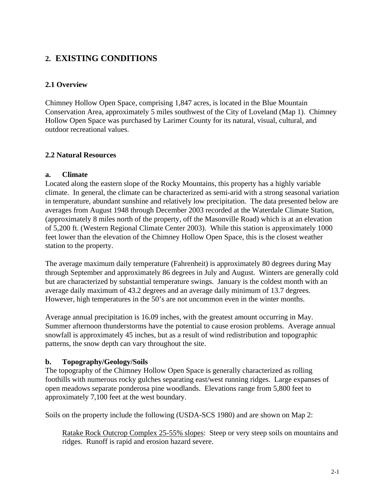# **2. EXISTING CONDITIONS**

### **2.1 Overview**

Chimney Hollow Open Space, comprising 1,847 acres, is located in the Blue Mountain Conservation Area, approximately 5 miles southwest of the City of Loveland (Map 1). Chimney Hollow Open Space was purchased by Larimer County for its natural, visual, cultural, and outdoor recreational values.

### **2.2 Natural Resources**

### **a. Climate**

Located along the eastern slope of the Rocky Mountains, this property has a highly variable climate. In general, the climate can be characterized as semi-arid with a strong seasonal variation in temperature, abundant sunshine and relatively low precipitation. The data presented below are averages from August 1948 through December 2003 recorded at the Waterdale Climate Station, (approximately 8 miles north of the property, off the Masonville Road) which is at an elevation of 5,200 ft. (Western Regional Climate Center 2003). While this station is approximately 1000 feet lower than the elevation of the Chimney Hollow Open Space, this is the closest weather station to the property.

The average maximum daily temperature (Fahrenheit) is approximately 80 degrees during May through September and approximately 86 degrees in July and August. Winters are generally cold but are characterized by substantial temperature swings. January is the coldest month with an average daily maximum of 43.2 degrees and an average daily minimum of 13.7 degrees. However, high temperatures in the 50's are not uncommon even in the winter months.

Average annual precipitation is 16.09 inches, with the greatest amount occurring in May. Summer afternoon thunderstorms have the potential to cause erosion problems. Average annual snowfall is approximately 45 inches, but as a result of wind redistribution and topographic patterns, the snow depth can vary throughout the site.

### **b. Topography/Geology/Soils**

The topography of the Chimney Hollow Open Space is generally characterized as rolling foothills with numerous rocky gulches separating east/west running ridges. Large expanses of open meadows separate ponderosa pine woodlands. Elevations range from 5,800 feet to approximately 7,100 feet at the west boundary.

Soils on the property include the following (USDA-SCS 1980) and are shown on Map 2:

Ratake Rock Outcrop Complex 25-55% slopes: Steep or very steep soils on mountains and ridges. Runoff is rapid and erosion hazard severe.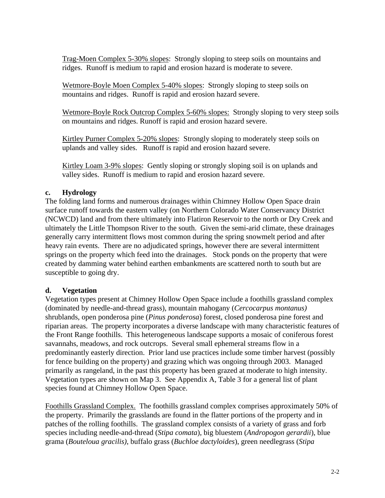Trag-Moen Complex 5-30% slopes: Strongly sloping to steep soils on mountains and ridges. Runoff is medium to rapid and erosion hazard is moderate to severe.

Wetmore-Boyle Moen Complex 5-40% slopes: Strongly sloping to steep soils on mountains and ridges. Runoff is rapid and erosion hazard severe.

Wetmore-Boyle Rock Outcrop Complex 5-60% slopes: Strongly sloping to very steep soils on mountains and ridges. Runoff is rapid and erosion hazard severe.

Kirtley Purner Complex 5-20% slopes: Strongly sloping to moderately steep soils on uplands and valley sides. Runoff is rapid and erosion hazard severe.

Kirtley Loam 3-9% slopes: Gently sloping or strongly sloping soil is on uplands and valley sides. Runoff is medium to rapid and erosion hazard severe.

### **c. Hydrology**

The folding land forms and numerous drainages within Chimney Hollow Open Space drain surface runoff towards the eastern valley (on Northern Colorado Water Conservancy District (NCWCD) land and from there ultimately into Flatiron Reservoir to the north or Dry Creek and ultimately the Little Thompson River to the south. Given the semi-arid climate, these drainages generally carry intermittent flows most common during the spring snowmelt period and after heavy rain events. There are no adjudicated springs, however there are several intermittent springs on the property which feed into the drainages. Stock ponds on the property that were created by damming water behind earthen embankments are scattered north to south but are susceptible to going dry.

### **d. Vegetation**

Vegetation types present at Chimney Hollow Open Space include a foothills grassland complex (dominated by needle-and-thread grass), mountain mahogany (*Cercocarpus montanus)* shrublands, open ponderosa pine (*Pinus ponderosa*) forest, closed ponderosa pine forest and riparian areas. The property incorporates a diverse landscape with many characteristic features of the Front Range foothills. This heterogeneous landscape supports a mosaic of coniferous forest savannahs, meadows, and rock outcrops. Several small ephemeral streams flow in a predominantly easterly direction. Prior land use practices include some timber harvest (possibly for fence building on the property) and grazing which was ongoing through 2003. Managed primarily as rangeland, in the past this property has been grazed at moderate to high intensity. Vegetation types are shown on Map 3. See Appendix A, Table 3 for a general list of plant species found at Chimney Hollow Open Space.

Foothills Grassland Complex. The foothills grassland complex comprises approximately 50% of the property. Primarily the grasslands are found in the flatter portions of the property and in patches of the rolling foothills. The grassland complex consists of a variety of grass and forb species including needle-and-thread (*Stipa comata*), big bluestem (*Andropogon gerardii*), blue grama (*Bouteloua gracilis)*, buffalo grass (*Buchloe dactyloides*), green needlegrass (*Stipa*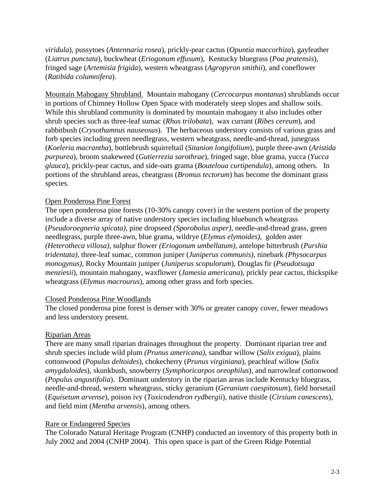*viridula*), pussytoes (*Antennaria rosea*), prickly-pear cactus (*Opuntia maccorhiza*), gayfeather (*Liatrus punctata*), buckwheat (*Eriogonum effusum*), Kentucky bluegrass (*Poa pratensis*), fringed sage (*Artemisia frigida*), western wheatgrass (*Agropyron smithii*), and coneflower (*Ratibida columnifera*).

Mountain Mahogany Shrubland. Mountain mahogany (*Cercocarpus montanus*) shrublands occur in portions of Chimney Hollow Open Space with moderately steep slopes and shallow soils. While this shrubland community is dominated by mountain mahogany it also includes other shrub species such as three-leaf sumac (*Rhus trilobata*), wax currant (*Ribes cereum*), and rabbitbush (*Crysothamnus nauseosus*). The herbaceous understory consists of various grass and forb species including green needlegrass, western wheatgrass, needle-and-thread, junegrass (*Koeleria macrantha*), bottlebrush squirreltail (*Sitanion longifolium*), purple three-awn (*Aristida purpurea*), broom snakeweed (*Gutierrezia sarothrae*), fringed sage, blue grama, yucca (*Yucca glauca*), prickly-pear cactus, and side-oats grama (*Bouteloua curtipendula*), among others. In portions of the shrubland areas, cheatgrass (*Bromus tectorum*) has become the dominant grass species.

### Open Ponderosa Pine Forest

The open ponderosa pine forests (10-30% canopy cover) in the western portion of the property include a diverse array of native understory species including bluebunch wheatgrass (*Pseudoroegneria spicata),* pine dropseed *(Sporobolus asper),* needle-and-thread grass, green needlegrass, purple three-awn, blue grama, wildrye (*Elymus elymoides),* golden aster *(Heterotheca villosa)*, sulphur flower *(Eriogonum umbellatum),* antelope bitterbrush (*Purshia tridentata),* three-leaf sumac*,* common juniper (*Juniperus communis),* ninebark *(Physocarpus monogynus)*, Rocky Mountain juniper (*Juniperus scopulorum*), Douglas fir (*Pseudotsuga menziesii*), mountain mahogany, waxflower (*Jamesia americana*), prickly pear cactus, thickspike wheatgrass (*Elymus macrourus*), among other grass and forb species.

#### Closed Ponderosa Pine Woodlands

The closed ponderosa pine forest is denser with 30% or greater canopy cover, fewer meadows and less understory present.

#### Riparian Areas

There are many small riparian drainages throughout the property. Dominant riparian tree and shrub species include wild plum *(Prunus americana)*, sandbar willow (*Salix exigua*), plains cottonwood (*Populus deltoides*), chokecherry (*Prunus virginiana*), peachleaf willow (*Salix amygdaloides*), skunkbush, snowberry (*Symphoricarpos oreophilus*), and narrowleaf cottonwood (*Populus angustifolia*). Dominant understory in the riparian areas include Kentucky bluegrass, needle-and-thread, western wheatgrass, sticky geranium (*Geranium caespitosum*), field horsetail (*Equisetum arvense*), poison ivy (*Toxicodendron rydbergii*), native thistle (*Cirsium canescens*), and field mint (*Mentha arvensis*), among others.

### Rare or Endangered Species

The Colorado Natural Heritage Program (CNHP) conducted an inventory of this property both in July 2002 and 2004 (CNHP 2004). This open space is part of the Green Ridge Potential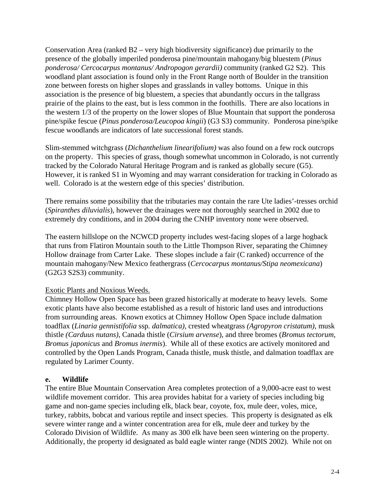Conservation Area (ranked B2 – very high biodiversity significance) due primarily to the presence of the globally imperiled ponderosa pine/mountain mahogany/big bluestem (*Pinus ponderosa/ Cercocarpus montanus/ Andropogon gerardii)* community (ranked G2 S2). This woodland plant association is found only in the Front Range north of Boulder in the transition zone between forests on higher slopes and grasslands in valley bottoms. Unique in this association is the presence of big bluestem, a species that abundantly occurs in the tallgrass prairie of the plains to the east, but is less common in the foothills. There are also locations in the western 1/3 of the property on the lower slopes of Blue Mountain that support the ponderosa pine/spike fescue (*Pinus ponderosa/Leucopoa kingii*) (G3 S3) community. Ponderosa pine/spike fescue woodlands are indicators of late successional forest stands.

Slim-stemmed witchgrass (*Dichanthelium linearifolium)* was also found on a few rock outcrops on the property. This species of grass, though somewhat uncommon in Colorado, is not currently tracked by the Colorado Natural Heritage Program and is ranked as globally secure (G5). However, it is ranked S1 in Wyoming and may warrant consideration for tracking in Colorado as well. Colorado is at the western edge of this species' distribution.

There remains some possibility that the tributaries may contain the rare Ute ladies'-tresses orchid (*Spiranthes diluvialis*), however the drainages were not thoroughly searched in 2002 due to extremely dry conditions, and in 2004 during the CNHP inventory none were observed.

The eastern hillslope on the NCWCD property includes west-facing slopes of a large hogback that runs from Flatiron Mountain south to the Little Thompson River, separating the Chimney Hollow drainage from Carter Lake. These slopes include a fair (C ranked) occurrence of the mountain mahogany/New Mexico feathergrass (*Cercocarpus montanus/Stipa neomexicana*) (G2G3 S2S3) community.

### Exotic Plants and Noxious Weeds.

Chimney Hollow Open Space has been grazed historically at moderate to heavy levels. Some exotic plants have also become established as a result of historic land uses and introductions from surrounding areas. Known exotics at Chimney Hollow Open Space include dalmation toadflax (*Linaria gennistifolia* ssp*. dalmatica),* crested wheatgrass *(Agropyron cristatum),* musk thistle *(Carduus nutans)*, Canada thistle (*Cirsium arvense*), and three bromes (*Bromus tectorum*, *Bromus japonicus* and *Bromus inermis*).While all of these exotics are actively monitored and controlled by the Open Lands Program, Canada thistle, musk thistle, and dalmation toadflax are regulated by Larimer County.

#### **e. Wildlife**

The entire Blue Mountain Conservation Area completes protection of a 9,000-acre east to west wildlife movement corridor. This area provides habitat for a variety of species including big game and non-game species including elk, black bear, coyote, fox, mule deer, voles, mice, turkey, rabbits, bobcat and various reptile and insect species. This property is designated as elk severe winter range and a winter concentration area for elk, mule deer and turkey by the Colorado Division of Wildlife. As many as 300 elk have been seen wintering on the property. Additionally, the property id designated as bald eagle winter range (NDIS 2002). While not on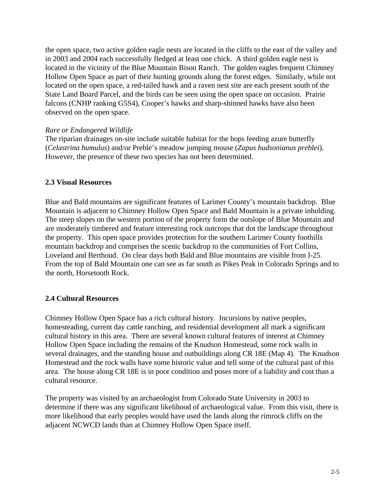the open space, two active golden eagle nests are located in the cliffs to the east of the valley and in 2003 and 2004 each successfully fledged at least one chick. A third golden eagle nest is located in the vicinity of the Blue Mountain Bison Ranch. The golden eagles frequent Chimney Hollow Open Space as part of their hunting grounds along the forest edges. Similarly, while not located on the open space, a red-tailed hawk and a raven nest site are each present south of the State Land Board Parcel, and the birds can be seen using the open space on occasion. Prairie falcons (CNHP ranking G5S4), Cooper's hawks and sharp-shinned hawks have also been observed on the open space.

### *Rare or Endangered Wildlife*

The riparian drainages on-site include suitable habitat for the hops feeding azure butterfly (*Celastrina humulus*) and/or Preble's meadow jumping mouse (*Zapus hudsonianus preblei*). However, the presence of these two species has not been determined.

### **2.3 Visual Resources**

Blue and Bald mountains are significant features of Larimer County's mountain backdrop. Blue Mountain is adjacent to Chimney Hollow Open Space and Bald Mountain is a private inholding. The steep slopes on the western portion of the property form the outslope of Blue Mountain and are moderately timbered and feature interesting rock outcrops that dot the landscape throughout the property. This open space provides protection for the southern Larimer County foothills mountain backdrop and comprises the scenic backdrop to the communities of Fort Collins, Loveland and Berthoud. On clear days both Bald and Blue mountains are visible from I-25. From the top of Bald Mountain one can see as far south as Pikes Peak in Colorado Springs and to the north, Horsetooth Rock.

### **2.4 Cultural Resources**

Chimney Hollow Open Space has a rich cultural history. Incursions by native peoples, homesteading, current day cattle ranching, and residential development all mark a significant cultural history in this area. There are several known cultural features of interest at Chimney Hollow Open Space including the remains of the Knudson Homestead, some rock walls in several drainages, and the standing house and outbuildings along CR 18E (Map 4). The Knudson Homestead and the rock walls have some historic value and tell some of the cultural past of this area. The house along CR 18E is in poor condition and poses more of a liability and cost than a cultural resource.

The property was visited by an archaeologist from Colorado State University in 2003 to determine if there was any significant likelihood of archaeological value. From this visit, there is more likelihood that early peoples would have used the lands along the rimrock cliffs on the adjacent NCWCD lands than at Chimney Hollow Open Space itself.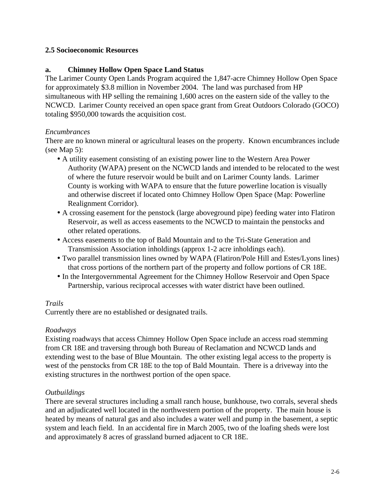### **2.5 Socioeconomic Resources**

### **a. Chimney Hollow Open Space Land Status**

The Larimer County Open Lands Program acquired the 1,847-acre Chimney Hollow Open Space for approximately \$3.8 million in November 2004. The land was purchased from HP simultaneous with HP selling the remaining 1,600 acres on the eastern side of the valley to the NCWCD. Larimer County received an open space grant from Great Outdoors Colorado (GOCO) totaling \$950,000 towards the acquisition cost.

### *Encumbrances*

There are no known mineral or agricultural leases on the property. Known encumbrances include (see Map 5):

- A utility easement consisting of an existing power line to the Western Area Power Authority (WAPA) present on the NCWCD lands and intended to be relocated to the west of where the future reservoir would be built and on Larimer County lands. Larimer County is working with WAPA to ensure that the future powerline location is visually and otherwise discreet if located onto Chimney Hollow Open Space (Map: Powerline Realignment Corridor).
- A crossing easement for the penstock (large aboveground pipe) feeding water into Flatiron Reservoir, as well as access easements to the NCWCD to maintain the penstocks and other related operations.
- Access easements to the top of Bald Mountain and to the Tri-State Generation and Transmission Association inholdings (approx 1-2 acre inholdings each).
- Two parallel transmission lines owned by WAPA (Flatiron/Pole Hill and Estes/Lyons lines) that cross portions of the northern part of the property and follow portions of CR 18E.
- In the Intergovernmental Agreement for the Chimney Hollow Reservoir and Open Space Partnership, various reciprocal accesses with water district have been outlined.

### *Trails*

Currently there are no established or designated trails.

### *Roadways*

Existing roadways that access Chimney Hollow Open Space include an access road stemming from CR 18E and traversing through both Bureau of Reclamation and NCWCD lands and extending west to the base of Blue Mountain. The other existing legal access to the property is west of the penstocks from CR 18E to the top of Bald Mountain. There is a driveway into the existing structures in the northwest portion of the open space.

### *Outbuildings*

There are several structures including a small ranch house, bunkhouse, two corrals, several sheds and an adjudicated well located in the northwestern portion of the property. The main house is heated by means of natural gas and also includes a water well and pump in the basement, a septic system and leach field. In an accidental fire in March 2005, two of the loafing sheds were lost and approximately 8 acres of grassland burned adjacent to CR 18E.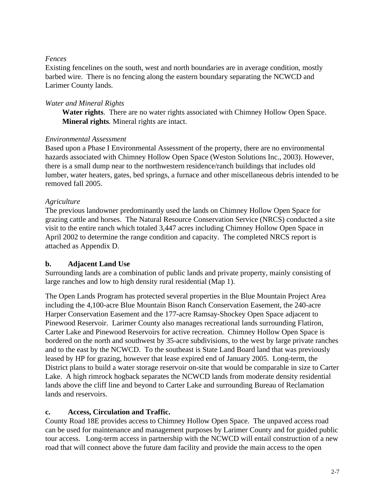### *Fences*

Existing fencelines on the south, west and north boundaries are in average condition, mostly barbed wire. There is no fencing along the eastern boundary separating the NCWCD and Larimer County lands.

### *Water and Mineral Rights*

**Water rights**. There are no water rights associated with Chimney Hollow Open Space. **Mineral rights**. Mineral rights are intact.

### *Environmental Assessment*

Based upon a Phase I Environmental Assessment of the property, there are no environmental hazards associated with Chimney Hollow Open Space (Weston Solutions Inc., 2003). However, there is a small dump near to the northwestern residence/ranch buildings that includes old lumber, water heaters, gates, bed springs, a furnace and other miscellaneous debris intended to be removed fall 2005.

### *Agriculture*

The previous landowner predominantly used the lands on Chimney Hollow Open Space for grazing cattle and horses. The Natural Resource Conservation Service (NRCS) conducted a site visit to the entire ranch which totaled 3,447 acres including Chimney Hollow Open Space in April 2002 to determine the range condition and capacity. The completed NRCS report is attached as Appendix D.

### **b. Adjacent Land Use**

Surrounding lands are a combination of public lands and private property, mainly consisting of large ranches and low to high density rural residential (Map 1).

The Open Lands Program has protected several properties in the Blue Mountain Project Area including the 4,100-acre Blue Mountain Bison Ranch Conservation Easement, the 240-acre Harper Conservation Easement and the 177-acre Ramsay-Shockey Open Space adjacent to Pinewood Reservoir. Larimer County also manages recreational lands surrounding Flatiron, Carter Lake and Pinewood Reservoirs for active recreation. Chimney Hollow Open Space is bordered on the north and southwest by 35-acre subdivisions, to the west by large private ranches and to the east by the NCWCD. To the southeast is State Land Board land that was previously leased by HP for grazing, however that lease expired end of January 2005. Long-term, the District plans to build a water storage reservoir on-site that would be comparable in size to Carter Lake. A high rimrock hogback separates the NCWCD lands from moderate density residential lands above the cliff line and beyond to Carter Lake and surrounding Bureau of Reclamation lands and reservoirs.

### **c. Access, Circulation and Traffic.**

County Road 18E provides access to Chimney Hollow Open Space. The unpaved access road can be used for maintenance and management purposes by Larimer County and for guided public tour access. Long-term access in partnership with the NCWCD will entail construction of a new road that will connect above the future dam facility and provide the main access to the open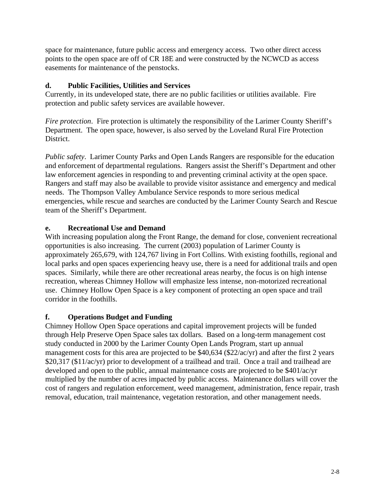space for maintenance, future public access and emergency access. Two other direct access points to the open space are off of CR 18E and were constructed by the NCWCD as access easements for maintenance of the penstocks.

### **d. Public Facilities, Utilities and Services**

Currently, in its undeveloped state, there are no public facilities or utilities available. Fire protection and public safety services are available however.

*Fire protection.* Fire protection is ultimately the responsibility of the Larimer County Sheriff's Department. The open space, however, is also served by the Loveland Rural Fire Protection District.

*Public safety*. Larimer County Parks and Open Lands Rangers are responsible for the education and enforcement of departmental regulations. Rangers assist the Sheriff's Department and other law enforcement agencies in responding to and preventing criminal activity at the open space. Rangers and staff may also be available to provide visitor assistance and emergency and medical needs. The Thompson Valley Ambulance Service responds to more serious medical emergencies, while rescue and searches are conducted by the Larimer County Search and Rescue team of the Sheriff's Department.

### **e. Recreational Use and Demand**

With increasing population along the Front Range, the demand for close, convenient recreational opportunities is also increasing. The current (2003) population of Larimer County is approximately 265,679, with 124,767 living in Fort Collins. With existing foothills, regional and local parks and open spaces experiencing heavy use, there is a need for additional trails and open spaces. Similarly, while there are other recreational areas nearby, the focus is on high intense recreation, whereas Chimney Hollow will emphasize less intense, non-motorized recreational use. Chimney Hollow Open Space is a key component of protecting an open space and trail corridor in the foothills.

### **f. Operations Budget and Funding**

Chimney Hollow Open Space operations and capital improvement projects will be funded through Help Preserve Open Space sales tax dollars. Based on a long-term management cost study conducted in 2000 by the Larimer County Open Lands Program, start up annual management costs for this area are projected to be \$40,634 (\$22/ac/yr) and after the first 2 years \$20,317 (\$11/ac/yr) prior to development of a trailhead and trail. Once a trail and trailhead are developed and open to the public, annual maintenance costs are projected to be \$401/ac/yr multiplied by the number of acres impacted by public access. Maintenance dollars will cover the cost of rangers and regulation enforcement, weed management, administration, fence repair, trash removal, education, trail maintenance, vegetation restoration, and other management needs.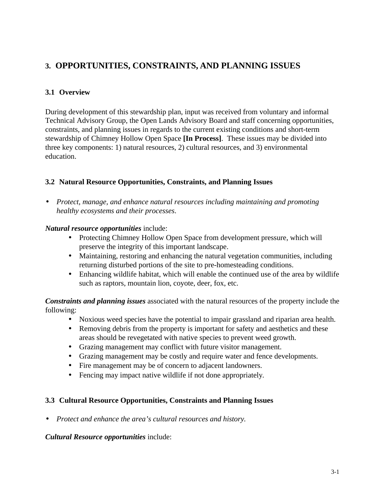# **3. OPPORTUNITIES, CONSTRAINTS, AND PLANNING ISSUES**

### **3.1 Overview**

During development of this stewardship plan, input was received from voluntary and informal Technical Advisory Group, the Open Lands Advisory Board and staff concerning opportunities, constraints, and planning issues in regards to the current existing conditions and short-term stewardship of Chimney Hollow Open Space **[In Process]**. These issues may be divided into three key components: 1) natural resources, 2) cultural resources, and 3) environmental education.

### **3.2 Natural Resource Opportunities, Constraints, and Planning Issues**

• *Protect, manage, and enhance natural resources including maintaining and promoting healthy ecosystems and their processes*.

### *Natural resource opportunities* include:

- Protecting Chimney Hollow Open Space from development pressure, which will preserve the integrity of this important landscape.
- Maintaining, restoring and enhancing the natural vegetation communities, including returning disturbed portions of the site to pre-homesteading conditions.
- Enhancing wildlife habitat, which will enable the continued use of the area by wildlife such as raptors, mountain lion, coyote, deer, fox, etc.

*Constraints and planning issues* associated with the natural resources of the property include the following:

- Noxious weed species have the potential to impair grassland and riparian area health.
- Removing debris from the property is important for safety and aesthetics and these areas should be revegetated with native species to prevent weed growth.
- Grazing management may conflict with future visitor management.
- Grazing management may be costly and require water and fence developments.
- Fire management may be of concern to adjacent landowners.
- Fencing may impact native wildlife if not done appropriately.

### **3.3 Cultural Resource Opportunities, Constraints and Planning Issues**

• *Protect and enhance the area's cultural resources and history.*

### *Cultural Resource opportunities* include: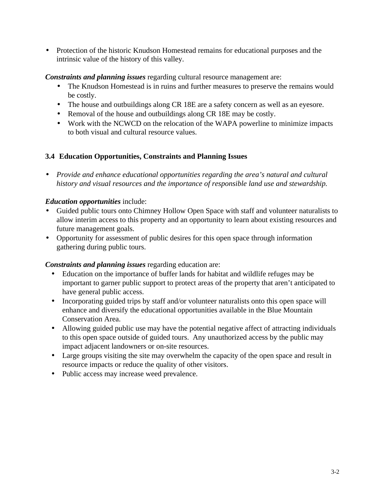• Protection of the historic Knudson Homestead remains for educational purposes and the intrinsic value of the history of this valley.

*Constraints and planning issues* regarding cultural resource management are:

- The Knudson Homestead is in ruins and further measures to preserve the remains would be costly.
- The house and outbuildings along CR 18E are a safety concern as well as an eyesore.
- Removal of the house and outbuildings along CR 18E may be costly.
- Work with the NCWCD on the relocation of the WAPA powerline to minimize impacts to both visual and cultural resource values.

### **3.4 Education Opportunities, Constraints and Planning Issues**

• *Provide and enhance educational opportunities regarding the area's natural and cultural history and visual resources and the importance of responsible land use and stewardship.*

### *Education opportunities* include:

- Guided public tours onto Chimney Hollow Open Space with staff and volunteer naturalists to allow interim access to this property and an opportunity to learn about existing resources and future management goals.
- Opportunity for assessment of public desires for this open space through information gathering during public tours.

### *Constraints and planning issues* regarding education are:

- Education on the importance of buffer lands for habitat and wildlife refuges may be important to garner public support to protect areas of the property that aren't anticipated to have general public access.
- Incorporating guided trips by staff and/or volunteer naturalists onto this open space will enhance and diversify the educational opportunities available in the Blue Mountain Conservation Area.
- Allowing guided public use may have the potential negative affect of attracting individuals to this open space outside of guided tours. Any unauthorized access by the public may impact adjacent landowners or on-site resources.
- Large groups visiting the site may overwhelm the capacity of the open space and result in resource impacts or reduce the quality of other visitors.
- Public access may increase weed prevalence.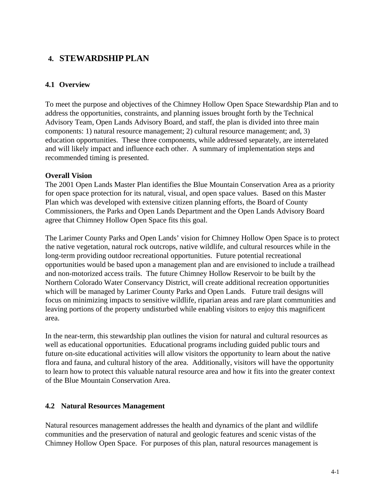# **4. STEWARDSHIP PLAN**

### **4.1 Overview**

To meet the purpose and objectives of the Chimney Hollow Open Space Stewardship Plan and to address the opportunities, constraints, and planning issues brought forth by the Technical Advisory Team, Open Lands Advisory Board, and staff, the plan is divided into three main components: 1) natural resource management; 2) cultural resource management; and, 3) education opportunities. These three components, while addressed separately, are interrelated and will likely impact and influence each other. A summary of implementation steps and recommended timing is presented.

### **Overall Vision**

The 2001 Open Lands Master Plan identifies the Blue Mountain Conservation Area as a priority for open space protection for its natural, visual, and open space values. Based on this Master Plan which was developed with extensive citizen planning efforts, the Board of County Commissioners, the Parks and Open Lands Department and the Open Lands Advisory Board agree that Chimney Hollow Open Space fits this goal.

The Larimer County Parks and Open Lands' vision for Chimney Hollow Open Space is to protect the native vegetation, natural rock outcrops, native wildlife, and cultural resources while in the long-term providing outdoor recreational opportunities. Future potential recreational opportunities would be based upon a management plan and are envisioned to include a trailhead and non-motorized access trails. The future Chimney Hollow Reservoir to be built by the Northern Colorado Water Conservancy District, will create additional recreation opportunities which will be managed by Larimer County Parks and Open Lands. Future trail designs will focus on minimizing impacts to sensitive wildlife, riparian areas and rare plant communities and leaving portions of the property undisturbed while enabling visitors to enjoy this magnificent area.

In the near-term, this stewardship plan outlines the vision for natural and cultural resources as well as educational opportunities. Educational programs including guided public tours and future on-site educational activities will allow visitors the opportunity to learn about the native flora and fauna, and cultural history of the area. Additionally, visitors will have the opportunity to learn how to protect this valuable natural resource area and how it fits into the greater context of the Blue Mountain Conservation Area.

### **4.2 Natural Resources Management**

Natural resources management addresses the health and dynamics of the plant and wildlife communities and the preservation of natural and geologic features and scenic vistas of the Chimney Hollow Open Space. For purposes of this plan, natural resources management is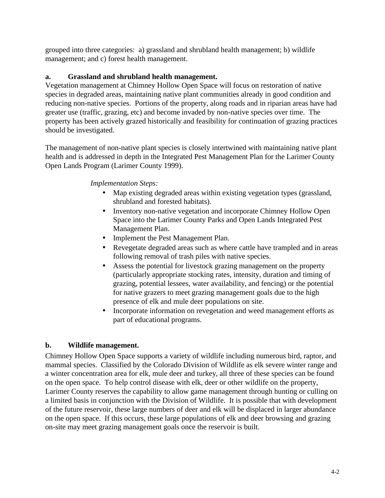grouped into three categories: a) grassland and shrubland health management; b) wildlife management; and c) forest health management.

### **a. Grassland and shrubland health management.**

Vegetation management at Chimney Hollow Open Space will focus on restoration of native species in degraded areas, maintaining native plant communities already in good condition and reducing non-native species. Portions of the property, along roads and in riparian areas have had greater use (traffic, grazing, etc) and become invaded by non-native species over time. The property has been actively grazed historically and feasibility for continuation of grazing practices should be investigated.

The management of non-native plant species is closely intertwined with maintaining native plant health and is addressed in depth in the Integrated Pest Management Plan for the Larimer County Open Lands Program (Larimer County 1999).

### *Implementation Steps:*

- Map existing degraded areas within existing vegetation types (grassland, shrubland and forested habitats).
- Inventory non-native vegetation and incorporate Chimney Hollow Open Space into the Larimer County Parks and Open Lands Integrated Pest Management Plan.
- Implement the Pest Management Plan.
- Revegetate degraded areas such as where cattle have trampled and in areas following removal of trash piles with native species.
- Assess the potential for livestock grazing management on the property (particularly appropriate stocking rates, intensity, duration and timing of grazing, potential lessees, water availability, and fencing) or the potential for native grazers to meet grazing management goals due to the high presence of elk and mule deer populations on site.
- Incorporate information on revegetation and weed management efforts as part of educational programs.

### **b. Wildlife management.**

Chimney Hollow Open Space supports a variety of wildlife including numerous bird, raptor, and mammal species. Classified by the Colorado Division of Wildlife as elk severe winter range and a winter concentration area for elk, mule deer and turkey, all three of these species can be found on the open space. To help control disease with elk, deer or other wildlife on the property, Larimer County reserves the capability to allow game management through hunting or culling on a limited basis in conjunction with the Division of Wildlife. It is possible that with development of the future reservoir, these large numbers of deer and elk will be displaced in larger abundance on the open space. If this occurs, these large populations of elk and deer browsing and grazing on-site may meet grazing management goals once the reservoir is built.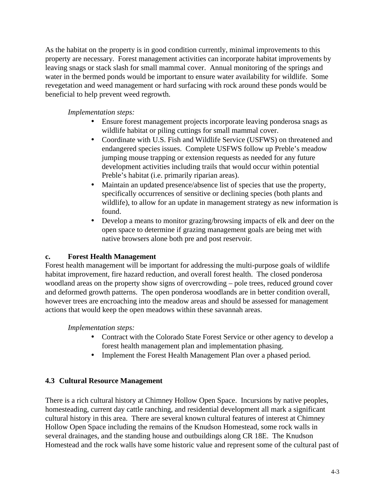As the habitat on the property is in good condition currently, minimal improvements to this property are necessary. Forest management activities can incorporate habitat improvements by leaving snags or stack slash for small mammal cover. Annual monitoring of the springs and water in the bermed ponds would be important to ensure water availability for wildlife. Some revegetation and weed management or hard surfacing with rock around these ponds would be beneficial to help prevent weed regrowth.

### *Implementation steps:*

- Ensure forest management projects incorporate leaving ponderosa snags as wildlife habitat or piling cuttings for small mammal cover.
- Coordinate with U.S. Fish and Wildlife Service (USFWS) on threatened and endangered species issues. Complete USFWS follow up Preble's meadow jumping mouse trapping or extension requests as needed for any future development activities including trails that would occur within potential Preble's habitat (i.e. primarily riparian areas).
- Maintain an updated presence/absence list of species that use the property, specifically occurrences of sensitive or declining species (both plants and wildlife), to allow for an update in management strategy as new information is found.
- Develop a means to monitor grazing/browsing impacts of elk and deer on the open space to determine if grazing management goals are being met with native browsers alone both pre and post reservoir.

### **c. Forest Health Management**

Forest health management will be important for addressing the multi-purpose goals of wildlife habitat improvement, fire hazard reduction, and overall forest health. The closed ponderosa woodland areas on the property show signs of overcrowding – pole trees, reduced ground cover and deformed growth patterns. The open ponderosa woodlands are in better condition overall, however trees are encroaching into the meadow areas and should be assessed for management actions that would keep the open meadows within these savannah areas.

### *Implementation steps:*

- Contract with the Colorado State Forest Service or other agency to develop a forest health management plan and implementation phasing.
- Implement the Forest Health Management Plan over a phased period.

### **4.3 Cultural Resource Management**

There is a rich cultural history at Chimney Hollow Open Space. Incursions by native peoples, homesteading, current day cattle ranching, and residential development all mark a significant cultural history in this area. There are several known cultural features of interest at Chimney Hollow Open Space including the remains of the Knudson Homestead, some rock walls in several drainages, and the standing house and outbuildings along CR 18E. The Knudson Homestead and the rock walls have some historic value and represent some of the cultural past of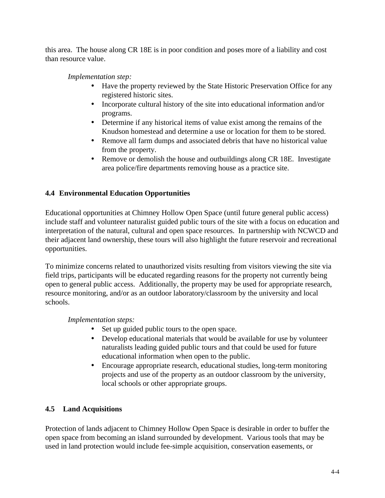this area. The house along CR 18E is in poor condition and poses more of a liability and cost than resource value.

*Implementation step:*

- Have the property reviewed by the State Historic Preservation Office for any registered historic sites.
- Incorporate cultural history of the site into educational information and/or programs.
- Determine if any historical items of value exist among the remains of the Knudson homestead and determine a use or location for them to be stored.
- Remove all farm dumps and associated debris that have no historical value from the property.
- Remove or demolish the house and outbuildings along CR 18E. Investigate area police/fire departments removing house as a practice site.

# **4.4 Environmental Education Opportunities**

Educational opportunities at Chimney Hollow Open Space (until future general public access) include staff and volunteer naturalist guided public tours of the site with a focus on education and interpretation of the natural, cultural and open space resources. In partnership with NCWCD and their adjacent land ownership, these tours will also highlight the future reservoir and recreational opportunities.

To minimize concerns related to unauthorized visits resulting from visitors viewing the site via field trips, participants will be educated regarding reasons for the property not currently being open to general public access. Additionally, the property may be used for appropriate research, resource monitoring, and/or as an outdoor laboratory/classroom by the university and local schools.

*Implementation steps:*

- Set up guided public tours to the open space.
- Develop educational materials that would be available for use by volunteer naturalists leading guided public tours and that could be used for future educational information when open to the public.
- Encourage appropriate research, educational studies, long-term monitoring projects and use of the property as an outdoor classroom by the university, local schools or other appropriate groups.

# **4.5 Land Acquisitions**

Protection of lands adjacent to Chimney Hollow Open Space is desirable in order to buffer the open space from becoming an island surrounded by development. Various tools that may be used in land protection would include fee-simple acquisition, conservation easements, or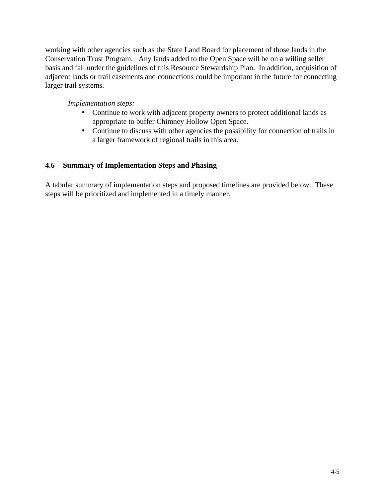working with other agencies such as the State Land Board for placement of those lands in the Conservation Trust Program. Any lands added to the Open Space will be on a willing seller basis and fall under the guidelines of this Resource Stewardship Plan. In addition, acquisition of adjacent lands or trail easements and connections could be important in the future for connecting larger trail systems.

### *Implementation steps:*

- Continue to work with adjacent property owners to protect additional lands as appropriate to buffer Chimney Hollow Open Space.
- Continue to discuss with other agencies the possibility for connection of trails in a larger framework of regional trails in this area.

### **4.6 Summary of Implementation Steps and Phasing**

A tabular summary of implementation steps and proposed timelines are provided below. These steps will be prioritized and implemented in a timely manner.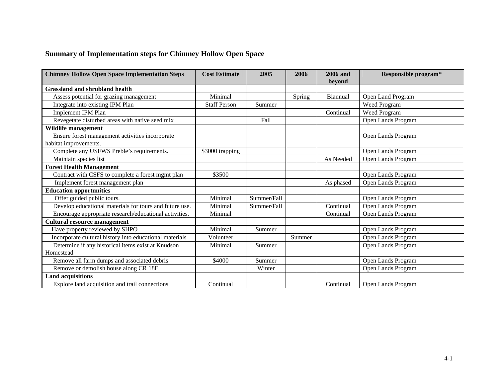### **Summary of Implementation steps for Chimney Hollow Open Space**

| <b>Chimney Hollow Open Space Implementation Steps</b>                    | <b>Cost Estimate</b> | 2005        | 2006   | 2006 and<br>bevond | Responsible program* |
|--------------------------------------------------------------------------|----------------------|-------------|--------|--------------------|----------------------|
| <b>Grassland and shrubland health</b>                                    |                      |             |        |                    |                      |
| Assess potential for grazing management                                  | Minimal              |             | Spring | Biannual           | Open Land Program    |
| Integrate into existing IPM Plan                                         | <b>Staff Person</b>  | Summer      |        |                    | Weed Program         |
| <b>Implement IPM Plan</b>                                                |                      |             |        | Continual          | Weed Program         |
| Revegetate disturbed areas with native seed mix                          |                      | Fall        |        |                    | Open Lands Program   |
| Wildlife management                                                      |                      |             |        |                    |                      |
| Ensure forest management activities incorporate<br>habitat improvements. |                      |             |        |                    | Open Lands Program   |
| Complete any USFWS Preble's requirements.                                | \$3000 trapping      |             |        |                    | Open Lands Program   |
| Maintain species list                                                    |                      |             |        | As Needed          | Open Lands Program   |
| <b>Forest Health Management</b>                                          |                      |             |        |                    |                      |
| Contract with CSFS to complete a forest mgmt plan                        | \$3500               |             |        |                    | Open Lands Program   |
| Implement forest management plan                                         |                      |             |        | As phased          | Open Lands Program   |
| <b>Education opportunities</b>                                           |                      |             |        |                    |                      |
| Offer guided public tours.                                               | Minimal              | Summer/Fall |        |                    | Open Lands Program   |
| Develop educational materials for tours and future use.                  | Minimal              | Summer/Fall |        | Continual          | Open Lands Program   |
| Encourage appropriate research/educational activities.                   | Minimal              |             |        | Continual          | Open Lands Program   |
| <b>Cultural resource management</b>                                      |                      |             |        |                    |                      |
| Have property reviewed by SHPO                                           | Minimal              | Summer      |        |                    | Open Lands Program   |
| Incorporate cultural history into educational materials                  | Volunteer            |             | Summer |                    | Open Lands Program   |
| Determine if any historical items exist at Knudson                       | Minimal              | Summer      |        |                    | Open Lands Program   |
| Homestead                                                                |                      |             |        |                    |                      |
| Remove all farm dumps and associated debris                              | \$4000               | Summer      |        |                    | Open Lands Program   |
| Remove or demolish house along CR 18E                                    |                      | Winter      |        |                    | Open Lands Program   |
| <b>Land acquisitions</b>                                                 |                      |             |        |                    |                      |
| Explore land acquisition and trail connections                           | Continual            |             |        | Continual          | Open Lands Program   |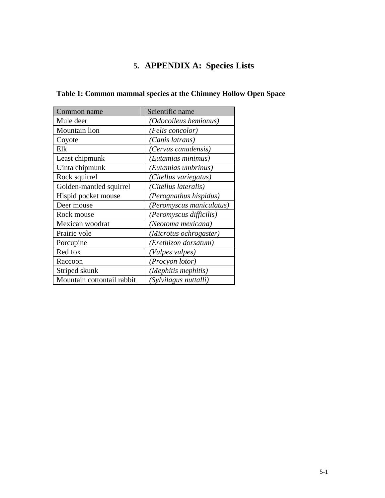# **5. APPENDIX A: Species Lists**

| Common name                | Scientific name              |
|----------------------------|------------------------------|
| Mule deer                  | <i>(Odocoileus hemionus)</i> |
| Mountain lion              | (Felis concolor)             |
| Coyote                     | (Canis latrans)              |
| Elk                        | (Cervus canadensis)          |
| Least chipmunk             | (Eutamias minimus)           |
| Uinta chipmunk             | (Eutamias umbrinus)          |
| Rock squirrel              | (Citellus variegatus)        |
| Golden-mantled squirrel    | (Citellus lateralis)         |
| Hispid pocket mouse        | (Perognathus hispidus)       |
| Deer mouse                 | (Peromyscus maniculatus)     |
| Rock mouse                 | (Peromyscus difficilis)      |
| Mexican woodrat            | (Neotoma mexicana)           |
| Prairie vole               | (Microtus ochrogaster)       |
| Porcupine                  | (Erethizon dorsatum)         |
| Red fox                    | (Vulpes vulpes)              |
| Raccoon                    | (Procyon lotor)              |
| Striped skunk              | (Mephitis mephitis)          |
| Mountain cottontail rabbit | (Sylvilagus nuttalli)        |

# **Table 1: Common mammal species at the Chimney Hollow Open Space**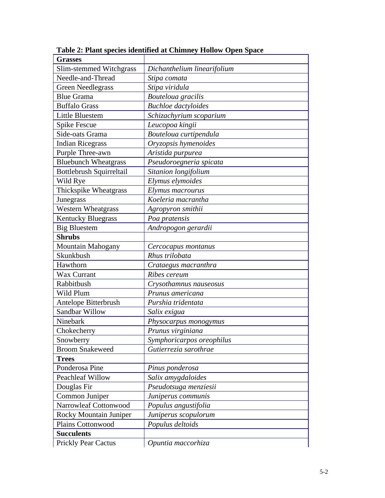| <b>Grasses</b>              |                             |  |  |
|-----------------------------|-----------------------------|--|--|
| Slim-stemmed Witchgrass     | Dichanthelium linearifolium |  |  |
| Needle-and-Thread           | Stipa comata                |  |  |
| <b>Green Needlegrass</b>    | Stipa viridula              |  |  |
| <b>Blue Grama</b>           | Bouteloua gracilis          |  |  |
| <b>Buffalo Grass</b>        | <b>Buchloe</b> dactyloides  |  |  |
| <b>Little Bluestem</b>      | Schizachyrium scoparium     |  |  |
| Spike Fescue                | Leucopoa kingii             |  |  |
| Side-oats Grama             | Bouteloua curtipendula      |  |  |
| <b>Indian Ricegrass</b>     | Oryzopsis hymenoides        |  |  |
| Purple Three-awn            | Aristida purpurea           |  |  |
| <b>Bluebunch Wheatgrass</b> | Pseudoroegneria spicata     |  |  |
| Bottlebrush Squirreltail    | Sitanion longifolium        |  |  |
| Wild Rye                    | Elymus elymoides            |  |  |
| Thickspike Wheatgrass       | Elymus macrourus            |  |  |
| Junegrass                   | Koeleria macrantha          |  |  |
| <b>Western Wheatgrass</b>   | Agropyron smithii           |  |  |
| <b>Kentucky Bluegrass</b>   | Poa pratensis               |  |  |
| <b>Big Bluestem</b>         | Andropogon gerardii         |  |  |
| <b>Shrubs</b>               |                             |  |  |
| Mountain Mahogany           | Cercocapus montanus         |  |  |
| Skunkbush                   | Rhus trilobata              |  |  |
| Hawthorn                    | Crataegus macranthra        |  |  |
| Wax Currant                 | Ribes cereum                |  |  |
| Rabbitbush                  | Crysothamnus nauseosus      |  |  |
| Wild Plum                   | Prunus americana            |  |  |
| Antelope Bitterbrush        | Purshia tridentata          |  |  |
| Sandbar Willow              | Salix exigua                |  |  |
| Ninebark                    | Physocarpus monogymus       |  |  |
| Chokecherry                 | Prunus virginiana           |  |  |
| Snowberry                   | Symphoricarpos oreophilus   |  |  |
| <b>Broom Snakeweed</b>      | Gutierrezia sarothrae       |  |  |
| <b>Trees</b>                |                             |  |  |
| Ponderosa Pine              | Pinus ponderosa             |  |  |
| <b>Peachleaf Willow</b>     | Salix amygdaloides          |  |  |
| Douglas Fir                 | Pseudotsuga menziesii       |  |  |
| Common Juniper              | Juniperus communis          |  |  |
| Narrowleaf Cottonwood       | Populus angustifolia        |  |  |
| Rocky Mountain Juniper      | Juniperus scopulorum        |  |  |
| <b>Plains Cottonwood</b>    | Populus deltoids            |  |  |
| <b>Succulents</b>           |                             |  |  |
| <b>Prickly Pear Cactus</b>  | Opuntia maccorhiza          |  |  |

**Table 2: Plant species identified at Chimney Hollow Open Space**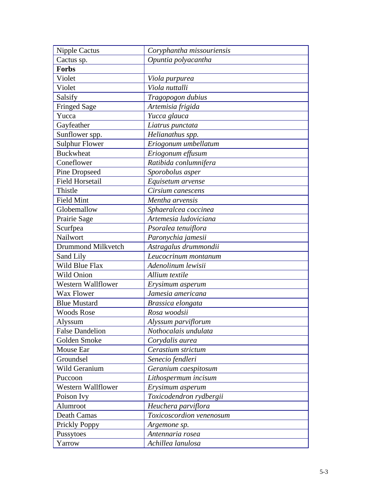| <b>Nipple Cactus</b>   | Coryphantha missouriensis |  |  |
|------------------------|---------------------------|--|--|
| Cactus sp.             | Opuntia polyacantha       |  |  |
| <b>Forbs</b>           |                           |  |  |
| Violet                 | Viola purpurea            |  |  |
| Violet                 | Viola nuttalli            |  |  |
| Salsify                | Tragopogon dubius         |  |  |
| <b>Fringed Sage</b>    | Artemisia frigida         |  |  |
| Yucca                  | Yucca glauca              |  |  |
| Gayfeather             | Liatrus punctata          |  |  |
| Sunflower spp.         | Helianathus spp.          |  |  |
| <b>Sulphur Flower</b>  | Eriogonum umbellatum      |  |  |
| <b>Buckwheat</b>       | Eriogonum effusum         |  |  |
| Coneflower             | Ratibida conlumnifera     |  |  |
| <b>Pine Dropseed</b>   | Sporobolus asper          |  |  |
| <b>Field Horsetail</b> | Equisetum arvense         |  |  |
| Thistle                | Cirsium canescens         |  |  |
| <b>Field Mint</b>      | Mentha arvensis           |  |  |
| Globemallow            | Sphaeralcea coccinea      |  |  |
| Prairie Sage           | Artemesia ludoviciana     |  |  |
| Scurfpea               | Psoralea tenuiflora       |  |  |
| Nailwort               | Paronychia jamesii        |  |  |
| Drummond Milkvetch     | Astragalus drummondii     |  |  |
| Sand Lily              | Leucocrinum montanum      |  |  |
| Wild Blue Flax         | Adenolinum lewisii        |  |  |
| Wild Onion             | Allium textile            |  |  |
| Western Wallflower     | Erysimum asperum          |  |  |
| Wax Flower             | Jamesia americana         |  |  |
| <b>Blue Mustard</b>    | Brassica elongata         |  |  |
| <b>Woods Rose</b>      | Rosa woodsii              |  |  |
| Alyssum                | Alyssum parviflorum       |  |  |
| <b>False Dandelion</b> | Nothocalais undulata      |  |  |
| Golden Smoke           | Corydalis aurea           |  |  |
| Mouse Ear              | Cerastium strictum        |  |  |
| Groundsel              | Senecio fendleri          |  |  |
| Wild Geranium          | Geranium caespitosum      |  |  |
| Puccoon                | Lithospermum incisum      |  |  |
| Western Wallflower     | Erysimum asperum          |  |  |
| Poison Ivy             | Toxicodendron rydbergii   |  |  |
| Alumroot               | Heuchera parviflora       |  |  |
| Death Camas            | Toxicoscordion venenosum  |  |  |
| Prickly Poppy          | Argemone sp.              |  |  |
| Pussytoes              | Antennaria rosea          |  |  |
| Yarrow                 | Achillea lanulosa         |  |  |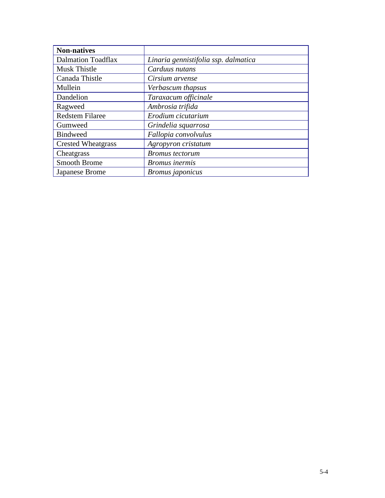| <b>Non-natives</b>        |                                      |
|---------------------------|--------------------------------------|
| <b>Dalmation Toadflax</b> | Linaria gennistifolia ssp. dalmatica |
| Musk Thistle              | Carduus nutans                       |
| Canada Thistle            | Cirsium arvense                      |
| Mullein                   | Verbascum thapsus                    |
| Dandelion                 | Taraxacum officinale                 |
| Ragweed                   | Ambrosia trifida                     |
| <b>Redstem Filaree</b>    | Erodium cicutarium                   |
| Gumweed                   | Grindelia squarrosa                  |
| <b>Bindweed</b>           | Fallopia convolvulus                 |
| <b>Crested Wheatgrass</b> | Agropyron cristatum                  |
| Cheatgrass                | <b>Bromus</b> tectorum               |
| Smooth Brome              | <b>Bromus</b> inermis                |
| Japanese Brome            | <b>Bromus</b> japonicus              |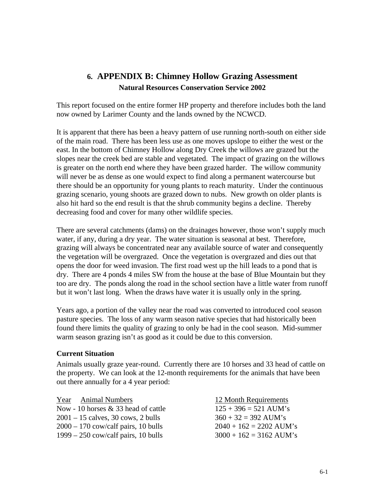# **6. APPENDIX B: Chimney Hollow Grazing Assessment Natural Resources Conservation Service 2002**

This report focused on the entire former HP property and therefore includes both the land now owned by Larimer County and the lands owned by the NCWCD.

It is apparent that there has been a heavy pattern of use running north-south on either side of the main road. There has been less use as one moves upslope to either the west or the east. In the bottom of Chimney Hollow along Dry Creek the willows are grazed but the slopes near the creek bed are stable and vegetated. The impact of grazing on the willows is greater on the north end where they have been grazed harder. The willow community will never be as dense as one would expect to find along a permanent watercourse but there should be an opportunity for young plants to reach maturity. Under the continuous grazing scenario, young shoots are grazed down to nubs. New growth on older plants is also hit hard so the end result is that the shrub community begins a decline. Thereby decreasing food and cover for many other wildlife species.

There are several catchments (dams) on the drainages however, those won't supply much water, if any, during a dry year. The water situation is seasonal at best. Therefore, grazing will always be concentrated near any available source of water and consequently the vegetation will be overgrazed. Once the vegetation is overgrazed and dies out that opens the door for weed invasion. The first road west up the hill leads to a pond that is dry. There are 4 ponds 4 miles SW from the house at the base of Blue Mountain but they too are dry. The ponds along the road in the school section have a little water from runoff but it won't last long. When the draws have water it is usually only in the spring.

Years ago, a portion of the valley near the road was converted to introduced cool season pasture species. The loss of any warm season native species that had historically been found there limits the quality of grazing to only be had in the cool season. Mid-summer warm season grazing isn't as good as it could be due to this conversion.

#### **Current Situation**

Animals usually graze year-round. Currently there are 10 horses and 33 head of cattle on the property. We can look at the 12-month requirements for the animals that have been out there annually for a 4 year period:

Year Animal Numbers 12 Month Requirements Now - 10 horses & 33 head of cattle  $125 + 396 = 521$  AUM's  $2001 - 15$  calves, 30 cows, 2 bulls  $360 + 32 = 392$  AUM's  $2000 - 170$  cow/calf pairs, 10 bulls  $2040 + 162 = 2202$  AUM's  $1999 - 250$  cow/calf pairs, 10 bulls  $3000 + 162 = 3162$  AUM's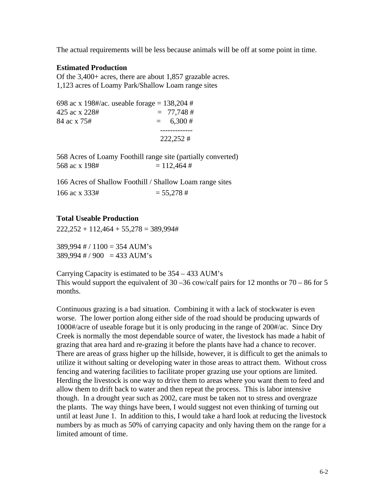The actual requirements will be less because animals will be off at some point in time.

#### **Estimated Production**

Of the 3,400+ acres, there are about 1,857 grazable acres. 1,123 acres of Loamy Park/Shallow Loam range sites

698 ac x 198#/ac. useable forage =  $138,204$  #  $425 \text{ ac x } 228#$  = 77,748 #  $84 \text{ ac } x \text{ 75}$ #  $= 6,300 \text{ #}$  ------------- 222,252 #

568 Acres of Loamy Foothill range site (partially converted) 568 ac x 198#  $= 112.464$  #

166 Acres of Shallow Foothill / Shallow Loam range sites  $166$  ac x 333#  $= 55.278$  #

#### **Total Useable Production**

 $222.252 + 112.464 + 55.278 = 389.994#$ 

 $389,994 \# / 1100 = 354$  AUM's  $389,994 \# / 900 = 433$  AUM's

Carrying Capacity is estimated to be 354 – 433 AUM's This would support the equivalent of  $30 - 36$  cow/calf pairs for 12 months or  $70 - 86$  for 5 months.

Continuous grazing is a bad situation. Combining it with a lack of stockwater is even worse. The lower portion along either side of the road should be producing upwards of 1000#/acre of useable forage but it is only producing in the range of 200#/ac. Since Dry Creek is normally the most dependable source of water, the livestock has made a habit of grazing that area hard and re-grazing it before the plants have had a chance to recover. There are areas of grass higher up the hillside, however, it is difficult to get the animals to utilize it without salting or developing water in those areas to attract them. Without cross fencing and watering facilities to facilitate proper grazing use your options are limited. Herding the livestock is one way to drive them to areas where you want them to feed and allow them to drift back to water and then repeat the process. This is labor intensive though. In a drought year such as 2002, care must be taken not to stress and overgraze the plants. The way things have been, I would suggest not even thinking of turning out until at least June 1. In addition to this, I would take a hard look at reducing the livestock numbers by as much as 50% of carrying capacity and only having them on the range for a limited amount of time.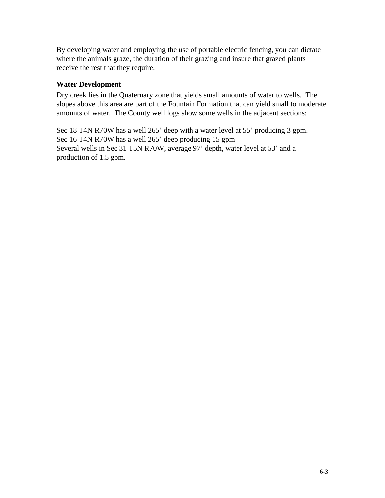By developing water and employing the use of portable electric fencing, you can dictate where the animals graze, the duration of their grazing and insure that grazed plants receive the rest that they require.

### **Water Development**

Dry creek lies in the Quaternary zone that yields small amounts of water to wells. The slopes above this area are part of the Fountain Formation that can yield small to moderate amounts of water. The County well logs show some wells in the adjacent sections:

Sec 18 T4N R70W has a well 265' deep with a water level at 55' producing 3 gpm. Sec 16 T4N R70W has a well 265' deep producing 15 gpm Several wells in Sec 31 T5N R70W, average 97' depth, water level at 53' and a production of 1.5 gpm.